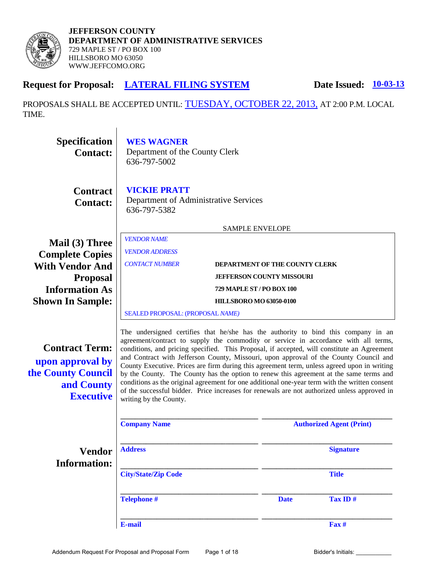

# **Request for Proposal: LATERAL FILING SYSTEM** Date Issued:  $\frac{10-03-13}{20}$

PROPOSALS SHALL BE ACCEPTED UNTIL: TUESDAY, OCTOBER 22, 2013, AT 2:00 P.M. LOCAL TIME.

| <b>Specification</b><br><b>Contact:</b>                                                           | <b>WES WAGNER</b><br>Department of the County Clerk<br>636-797-5002                                                                                                                                                                                                                                                                                                                                                                                                                                                                                                                                                                                                                                                                                                                    |                        |                                  |                  |  |
|---------------------------------------------------------------------------------------------------|----------------------------------------------------------------------------------------------------------------------------------------------------------------------------------------------------------------------------------------------------------------------------------------------------------------------------------------------------------------------------------------------------------------------------------------------------------------------------------------------------------------------------------------------------------------------------------------------------------------------------------------------------------------------------------------------------------------------------------------------------------------------------------------|------------------------|----------------------------------|------------------|--|
| <b>Contract</b><br><b>Contact:</b>                                                                | <b>VICKIE PRATT</b><br>Department of Administrative Services<br>636-797-5382                                                                                                                                                                                                                                                                                                                                                                                                                                                                                                                                                                                                                                                                                                           |                        |                                  |                  |  |
|                                                                                                   |                                                                                                                                                                                                                                                                                                                                                                                                                                                                                                                                                                                                                                                                                                                                                                                        | <b>SAMPLE ENVELOPE</b> |                                  |                  |  |
| Mail (3) Three<br><b>Complete Copies</b>                                                          | <b>VENDOR NAME</b><br><b>VENDOR ADDRESS</b>                                                                                                                                                                                                                                                                                                                                                                                                                                                                                                                                                                                                                                                                                                                                            |                        |                                  |                  |  |
| <b>With Vendor And</b>                                                                            | <b>CONTACT NUMBER</b>                                                                                                                                                                                                                                                                                                                                                                                                                                                                                                                                                                                                                                                                                                                                                                  |                        | DEPARTMENT OF THE COUNTY CLERK   |                  |  |
| <b>Proposal</b>                                                                                   |                                                                                                                                                                                                                                                                                                                                                                                                                                                                                                                                                                                                                                                                                                                                                                                        |                        | <b>JEFFERSON COUNTY MISSOURI</b> |                  |  |
| <b>Information As</b><br><b>Shown In Sample:</b>                                                  | 729 MAPLE ST / PO BOX 100<br><b>HILLSBORO MO 63050-0100</b>                                                                                                                                                                                                                                                                                                                                                                                                                                                                                                                                                                                                                                                                                                                            |                        |                                  |                  |  |
|                                                                                                   | SEALED PROPOSAL: (PROPOSAL NAME)                                                                                                                                                                                                                                                                                                                                                                                                                                                                                                                                                                                                                                                                                                                                                       |                        |                                  |                  |  |
| <b>Contract Term:</b><br>upon approval by<br>the County Council<br>and County<br><b>Executive</b> | The undersigned certifies that he/she has the authority to bind this company in an<br>agreement/contract to supply the commodity or service in accordance with all terms,<br>conditions, and pricing specified. This Proposal, if accepted, will constitute an Agreement<br>and Contract with Jefferson County, Missouri, upon approval of the County Council and<br>County Executive. Prices are firm during this agreement term, unless agreed upon in writing<br>by the County. The County has the option to renew this agreement at the same terms and<br>conditions as the original agreement for one additional one-year term with the written consent<br>of the successful bidder. Price increases for renewals are not authorized unless approved in<br>writing by the County. |                        |                                  |                  |  |
|                                                                                                   | <b>Company Name</b>                                                                                                                                                                                                                                                                                                                                                                                                                                                                                                                                                                                                                                                                                                                                                                    |                        | <b>Authorized Agent (Print)</b>  |                  |  |
| <b>Vendor</b><br><b>Information:</b>                                                              | <b>Address</b>                                                                                                                                                                                                                                                                                                                                                                                                                                                                                                                                                                                                                                                                                                                                                                         |                        |                                  | <b>Signature</b> |  |
|                                                                                                   | <b>City/State/Zip Code</b>                                                                                                                                                                                                                                                                                                                                                                                                                                                                                                                                                                                                                                                                                                                                                             |                        |                                  | <b>Title</b>     |  |
|                                                                                                   | <b>Telephone#</b>                                                                                                                                                                                                                                                                                                                                                                                                                                                                                                                                                                                                                                                                                                                                                                      |                        | <b>Date</b>                      | Tax ID#          |  |
|                                                                                                   | <b>E-mail</b>                                                                                                                                                                                                                                                                                                                                                                                                                                                                                                                                                                                                                                                                                                                                                                          |                        |                                  | Fax #            |  |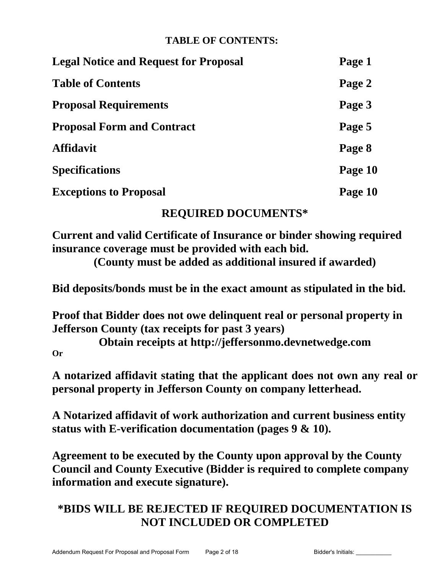# **TABLE OF CONTENTS:**

| <b>Legal Notice and Request for Proposal</b> | Page 1  |
|----------------------------------------------|---------|
| <b>Table of Contents</b>                     | Page 2  |
| <b>Proposal Requirements</b>                 | Page 3  |
| <b>Proposal Form and Contract</b>            | Page 5  |
| <b>Affidavit</b>                             | Page 8  |
| <b>Specifications</b>                        | Page 10 |
| <b>Exceptions to Proposal</b>                | Page 10 |

# **REQUIRED DOCUMENTS\***

**Current and valid Certificate of Insurance or binder showing required insurance coverage must be provided with each bid.**

**(County must be added as additional insured if awarded)**

**Bid deposits/bonds must be in the exact amount as stipulated in the bid.** 

**Proof that Bidder does not owe delinquent real or personal property in Jefferson County (tax receipts for past 3 years)** 

**Obtain receipts at http://jeffersonmo.devnetwedge.com Or**

**A notarized affidavit stating that the applicant does not own any real or personal property in Jefferson County on company letterhead.**

**A Notarized affidavit of work authorization and current business entity status with E-verification documentation (pages 9 & 10).** 

**Agreement to be executed by the County upon approval by the County Council and County Executive (Bidder is required to complete company information and execute signature).** 

# **\*BIDS WILL BE REJECTED IF REQUIRED DOCUMENTATION IS NOT INCLUDED OR COMPLETED**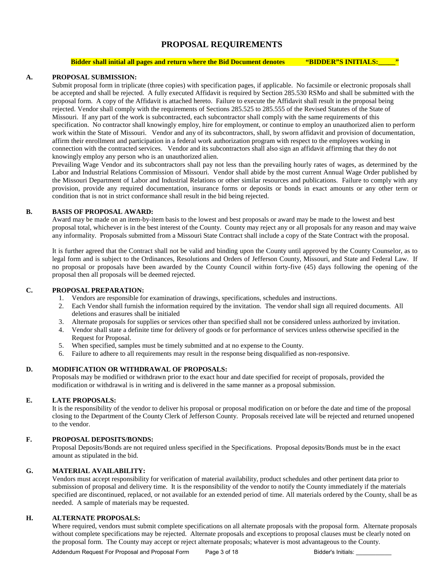# **PROPOSAL REQUIREMENTS**

#### **Bidder shall initial all pages and return where the Bid Document denotes <b>"BIDDER"S INITIALS:**

#### **A. PROPOSAL SUBMISSION:**

Submit proposal form in triplicate (three copies) with specification pages, if applicable. No facsimile or electronic proposals shall be accepted and shall be rejected. A fully executed Affidavit is required by Section 285.530 RSMo and shall be submitted with the proposal form. A copy of the Affidavit is attached hereto. Failure to execute the Affidavit shall result in the proposal being rejected. Vendor shall comply with the requirements of Sections 285.525 to 285.555 of the Revised Statutes of the State of Missouri. If any part of the work is subcontracted, each subcontractor shall comply with the same requirements of this specification. No contractor shall knowingly employ, hire for employment, or continue to employ an unauthorized alien to perform work within the State of Missouri. Vendor and any of its subcontractors, shall, by sworn affidavit and provision of documentation, affirm their enrollment and participation in a federal work authorization program with respect to the employees working in connection with the contracted services. Vendor and its subcontractors shall also sign an affidavit affirming that they do not knowingly employ any person who is an unauthorized alien.

Prevailing Wage Vendor and its subcontractors shall pay not less than the prevailing hourly rates of wages, as determined by the Labor and Industrial Relations Commission of Missouri. Vendor shall abide by the most current Annual Wage Order published by the Missouri Department of Labor and Industrial Relations or other similar resources and publications. Failure to comply with any provision, provide any required documentation, insurance forms or deposits or bonds in exact amounts or any other term or condition that is not in strict conformance shall result in the bid being rejected.

#### **B. BASIS OF PROPOSAL AWARD:**

Award may be made on an item-by-item basis to the lowest and best proposals or award may be made to the lowest and best proposal total, whichever is in the best interest of the County. County may reject any or all proposals for any reason and may waive any informality. Proposals submitted from a Missouri State Contract shall include a copy of the State Contract with the proposal.

It is further agreed that the Contract shall not be valid and binding upon the County until approved by the County Counselor, as to legal form and is subject to the Ordinances, Resolutions and Orders of Jefferson County, Missouri, and State and Federal Law. If no proposal or proposals have been awarded by the County Council within forty-five (45) days following the opening of the proposal then all proposals will be deemed rejected.

#### **C. PROPOSAL PREPARATION:**

- 1. Vendors are responsible for examination of drawings, specifications, schedules and instructions.
- 2. Each Vendor shall furnish the information required by the invitation. The vendor shall sign all required documents. All deletions and erasures shall be initialed
- 3. Alternate proposals for supplies or services other than specified shall not be considered unless authorized by invitation.
- 4. Vendor shall state a definite time for delivery of goods or for performance of services unless otherwise specified in the Request for Proposal.
- 5. When specified, samples must be timely submitted and at no expense to the County.
- 6. Failure to adhere to all requirements may result in the response being disqualified as non-responsive.

#### **D. MODIFICATION OR WITHDRAWAL OF PROPOSALS:**

Proposals may be modified or withdrawn prior to the exact hour and date specified for receipt of proposals, provided the modification or withdrawal is in writing and is delivered in the same manner as a proposal submission.

#### **E. LATE PROPOSALS:**

It is the responsibility of the vendor to deliver his proposal or proposal modification on or before the date and time of the proposal closing to the Department of the County Clerk of Jefferson County. Proposals received late will be rejected and returned unopened to the vendor.

#### **F. PROPOSAL DEPOSITS/BONDS:**

Proposal Deposits/Bonds are not required unless specified in the Specifications. Proposal deposits/Bonds must be in the exact amount as stipulated in the bid.

#### **G. MATERIAL AVAILABILITY:**

Vendors must accept responsibility for verification of material availability, product schedules and other pertinent data prior to submission of proposal and delivery time. It is the responsibility of the vendor to notify the County immediately if the materials specified are discontinued, replaced, or not available for an extended period of time. All materials ordered by the County, shall be as needed. A sample of materials may be requested.

#### **H. ALTERNATE PROPOSALS:**

Where required, vendors must submit complete specifications on all alternate proposals with the proposal form. Alternate proposals without complete specifications may be rejected. Alternate proposals and exceptions to proposal clauses must be clearly noted on the proposal form. The County may accept or reject alternate proposals; whatever is most advantageous to the County.

Addendum Request For Proposal and Proposal Form Page 3 of 18 Bidder's Initials: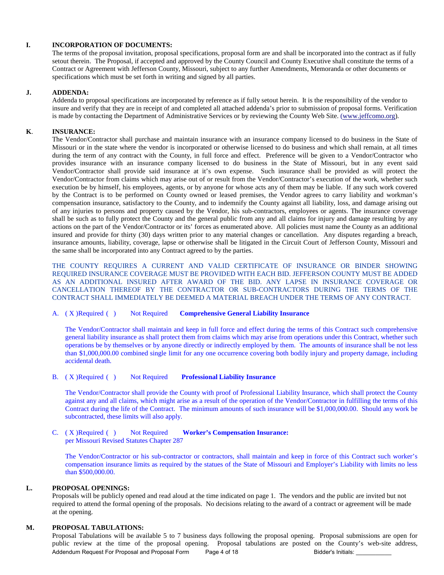#### **I. INCORPORATION OF DOCUMENTS:**

 The terms of the proposal invitation, proposal specifications, proposal form are and shall be incorporated into the contract as if fully setout therein.The Proposal, if accepted and approved by the County Council and County Executive shall constitute the terms of a Contract or Agreement with Jefferson County, Missouri, subject to any further Amendments, Memoranda or other documents or specifications which must be set forth in writing and signed by all parties.

#### **J. ADDENDA:**

Addenda to proposal specifications are incorporated by reference as if fully setout herein. It is the responsibility of the vendor to insure and verify that they are in receipt of and completed all attached addenda's prior to submission of proposal forms. Verification is made by contacting the Department of Administrative Services or by reviewing the County Web Site. [\(www.jeffcomo.org\)](http://www.jeffcomo.org/).

#### **K**. **INSURANCE:**

 The Vendor/Contractor shall purchase and maintain insurance with an insurance company licensed to do business in the State of Missouri or in the state where the vendor is incorporated or otherwise licensed to do business and which shall remain, at all times during the term of any contract with the County, in full force and effect. Preference will be given to a Vendor/Contractor who provides insurance with an insurance company licensed to do business in the State of Missouri, but in any event said Vendor/Contractor shall provide said insurance at it's own expense. Such insurance shall be provided as will protect the Vendor/Contractor from claims which may arise out of or result from the Vendor/Contractor's execution of the work, whether such execution be by himself, his employees, agents, or by anyone for whose acts any of them may be liable. If any such work covered by the Contract is to be performed on County owned or leased premises, the Vendor agrees to carry liability and workman's compensation insurance, satisfactory to the County, and to indemnify the County against all liability, loss, and damage arising out of any injuries to persons and property caused by the Vendor, his sub-contractors, employees or agents. The insurance coverage shall be such as to fully protect the County and the general public from any and all claims for injury and damage resulting by any actions on the part of the Vendor/Contractor or its' forces as enumerated above. All policies must name the County as an additional insured and provide for thirty (30) days written prior to any material changes or cancellation. Any disputes regarding a breach, insurance amounts, liability, coverage, lapse or otherwise shall be litigated in the Circuit Court of Jefferson County, Missouri and the same shall be incorporated into any Contract agreed to by the parties.

 THE COUNTY REQUIRES A CURRENT AND VALID CERTIFICATE OF INSURANCE OR BINDER SHOWING REQUIRED INSURANCE COVERAGE MUST BE PROVIDED WITH EACH BID. JEFFERSON COUNTY MUST BE ADDED AS AN ADDITIONAL INSURED AFTER AWARD OF THE BID. ANY LAPSE IN INSURANCE COVERAGE OR CANCELLATION THEREOF BY THE CONTRACTOR OR SUB-CONTRACTORS DURING THE TERMS OF THE CONTRACT SHALL IMMEDIATELY BE DEEMED A MATERIAL BREACH UNDER THE TERMS OF ANY CONTRACT.

#### A. ( X )Required ( ) Not Required **Comprehensive General Liability Insurance**

The Vendor/Contractor shall maintain and keep in full force and effect during the terms of this Contract such comprehensive general liability insurance as shall protect them from claims which may arise from operations under this Contract, whether such operations be by themselves or by anyone directly or indirectly employed by them. The amounts of insurance shall be not less than \$1,000,000.00 combined single limit for any one occurrence covering both bodily injury and property damage, including accidental death.

#### B. ( X )Required ( ) Not Required **Professional Liability Insurance**

The Vendor/Contractor shall provide the County with proof of Professional Liability Insurance, which shall protect the County against any and all claims, which might arise as a result of the operation of the Vendor/Contractor in fulfilling the terms of this Contract during the life of the Contract. The minimum amounts of such insurance will be \$1,000,000.00. Should any work be subcontracted, these limits will also apply.

C. ( X )Required ( ) Not Required **Worker's Compensation Insurance:**  per Missouri Revised Statutes Chapter 287

The Vendor/Contractor or his sub-contractor or contractors, shall maintain and keep in force of this Contract such worker's compensation insurance limits as required by the statues of the State of Missouri and Employer's Liability with limits no less than \$500,000.00.

#### **L. PROPOSAL OPENINGS:**

Proposals will be publicly opened and read aloud at the time indicated on page 1. The vendors and the public are invited but not required to attend the formal opening of the proposals. No decisions relating to the award of a contract or agreement will be made at the opening.

#### **M. PROPOSAL TABULATIONS:**

Proposal Tabulations will be available 5 to 7 business days following the proposal opening. Proposal submissions are open for public review at the time of the proposal opening. Proposal tabulations are posted on the County's web-site address, Addendum Request For Proposal and Proposal Form Page 4 of 18 Bidder's Initials: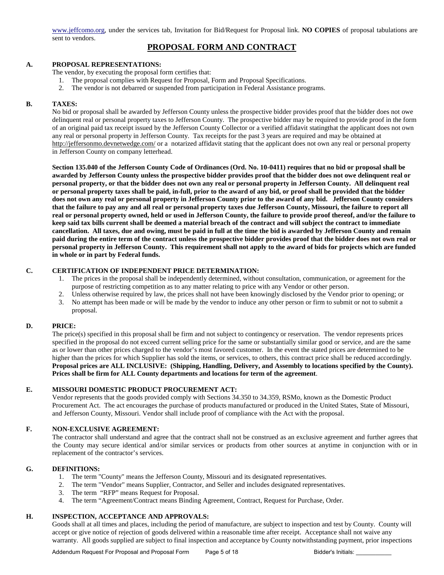[www.jeffcomo.org,](http://www.jeffcomo.org/) under the services tab, Invitation for Bid/Request for Proposal link. **NO COPIES** of proposal tabulations are sent to vendors.

### **PROPOSAL FORM AND CONTRACT**

#### **A. PROPOSAL REPRESENTATIONS:**

The vendor, by executing the proposal form certifies that:

- 1. The proposal complies with Request for Proposal, Form and Proposal Specifications.
- 2. The vendor is not debarred or suspended from participation in Federal Assistance programs.

#### **B. TAXES:**

No bid or proposal shall be awarded by Jefferson County unless the prospective bidder provides proof that the bidder does not owe delinquent real or personal property taxes to Jefferson County. The prospective bidder may be required to provide proof in the form of an original paid tax receipt issued by the Jefferson County Collector or a verified affidavit statingthat the applicant does not own any real or personal property in Jefferson County. Tax receipts for the past 3 years are required and may be obtained at <http://jeffersonmo.devnetwedge.com/> or a notarized affidavit stating that the applicant does not own any real or personal property in Jefferson County on company letterhead.

**Section 135.040 of the Jefferson County Code of Ordinances (Ord. No. 10-0411) requires that no bid or proposal shall be awarded by Jefferson County unless the prospective bidder provides proof that the bidder does not owe delinquent real or personal property, or that the bidder does not own any real or personal property in Jefferson County. All delinquent real or personal property taxes shall be paid, in-full, prior to the award of any bid, or proof shall be provided that the bidder does not own any real or personal property in Jefferson County prior to the award of any bid. Jefferson County considers that the failure to pay any and all real or personal property taxes due Jefferson County, Missouri, the failure to report all real or personal property owned, held or used in Jefferson County, the failure to provide proof thereof, and/or the failure to keep said tax bills current shall be deemed a material breach of the contract and will subject the contract to immediate cancellation. All taxes, due and owing, must be paid in full at the time the bid is awarded by Jefferson County and remain paid during the entire term of the contract unless the prospective bidder provides proof that the bidder does not own real or personal property in Jefferson County. This requirement shall not apply to the award of bids for projects which are funded in whole or in part by Federal funds.**

#### **C. CERTIFICATION OF INDEPENDENT PRICE DETERMINATION:**

- 1. The prices in the proposal shall be independently determined, without consultation, communication, or agreement for the purpose of restricting competition as to any matter relating to price with any Vendor or other person.
- 2. Unless otherwise required by law, the prices shall not have been knowingly disclosed by the Vendor prior to opening; or
- 3. No attempt has been made or will be made by the vendor to induce any other person or firm to submit or not to submit a proposal.

#### **D. PRICE:**

The price(s) specified in this proposal shall be firm and not subject to contingency or reservation. The vendor represents prices specified in the proposal do not exceed current selling price for the same or substantially similar good or service, and are the same as or lower than other prices charged to the vendor's most favored customer. In the event the stated prices are determined to be higher than the prices for which Supplier has sold the items, or services, to others, this contract price shall be reduced accordingly. **Proposal prices are ALL INCLUSIVE: (Shipping, Handling, Delivery, and Assembly to locations specified by the County). Prices shall be firm for ALL County departments and locations for term of the agreement**.

#### **E. MISSOURI DOMESTIC PRODUCT PROCUREMENT ACT:**

Vendor represents that the goods provided comply with Sections 34.350 to 34.359, RSMo, known as the Domestic Product Procurement Act. The act encourages the purchase of products manufactured or produced in the United States, State of Missouri, and Jefferson County, Missouri. Vendor shall include proof of compliance with the Act with the proposal.

#### **F. NON-EXCLUSIVE AGREEMENT:**

The contractor shall understand and agree that the contract shall not be construed as an exclusive agreement and further agrees that the County may secure identical and/or similar services or products from other sources at anytime in conjunction with or in replacement of the contractor's services.

#### **G. DEFINITIONS:**

- 1. The term "County" means the Jefferson County, Missouri and its designated representatives.
- 2. The term "Vendor" means Supplier, Contractor, and Seller and includes designated representatives.
- 3. The term "RFP" means Request for Proposal.
- 4. The term "Agreement/Contract means Binding Agreement, Contract, Request for Purchase, Order.

#### **H. INSPECTION, ACCEPTANCE AND APPROVALS:**

Goods shall at all times and places, including the period of manufacture, are subject to inspection and test by County. County will accept or give notice of rejection of goods delivered within a reasonable time after receipt. Acceptance shall not waive any warranty. All goods supplied are subject to final inspection and acceptance by County notwithstanding payment, prior inspections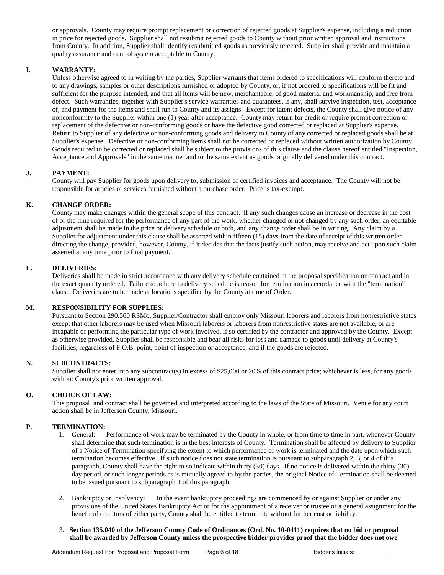or approvals. County may require prompt replacement or correction of rejected goods at Supplier's expense, including a reduction in price for rejected goods. Supplier shall not resubmit rejected goods to County without prior written approval and instructions from County. In addition, Supplier shall identify resubmitted goods as previously rejected. Supplier shall provide and maintain a quality assurance and control system acceptable to County.

#### **I. WARRANTY:**

Unless otherwise agreed to in writing by the parties, Supplier warrants that items ordered to specifications will conform thereto and to any drawings, samples or other descriptions furnished or adopted by County, or, if not ordered to specifications will be fit and sufficient for the purpose intended, and that all items will be new, merchantable, of good material and workmanship, and free from defect. Such warranties, together with Supplier's service warranties and guarantees, if any, shall survive inspection, test, acceptance of, and payment for the items and shall run to County and its assigns. Except for latent defects, the County shall give notice of any nonconformity to the Supplier within one (1) year after acceptance. County may return for credit or require prompt correction or replacement of the defective or non-conforming goods or have the defective good corrected or replaced at Supplier's expense. Return to Supplier of any defective or non-conforming goods and delivery to County of any corrected or replaced goods shall be at Supplier's expense. Defective or non-conforming items shall not be corrected or replaced without written authorization by County. Goods required to be corrected or replaced shall be subject to the provisions of this clause and the clause hereof entitled "Inspection, Acceptance and Approvals" in the same manner and to the same extent as goods originally delivered under this contract.

#### **J. PAYMENT:**

County will pay Supplier for goods upon delivery to, submission of certified invoices and acceptance. The County will not be responsible for articles or services furnished without a purchase order. Price is tax-exempt.

#### **K. CHANGE ORDER:**

County may make changes within the general scope of this contract. If any such changes cause an increase or decrease in the cost of or the time required for the performance of any part of the work, whether changed or not changed by any such order, an equitable adjustment shall be made in the price or delivery schedule or both, and any change order shall be in writing. Any claim by a Supplier for adjustment under this clause shall be asserted within fifteen (15) days from the date of receipt of this written order directing the change, provided, however, County, if it decides that the facts justify such action, may receive and act upon such claim asserted at any time prior to final payment.

#### **L. DELIVERIES:**

Deliveries shall be made in strict accordance with any delivery schedule contained in the proposal specification or contract and in the exact quantity ordered. Failure to adhere to delivery schedule is reason for termination in accordance with the "termination" clause. Deliveries are to be made at locations specified by the County at time of Order.

#### **M. RESPONSIBILITY FOR SUPPLIES:**

Pursuant to Section 290.560 RSMo, Supplier/Contractor shall employ only Missouri laborers and laborers from nonrestrictive states except that other laborers may be used when Missouri laborers or laborers from nonrestrictive states are not available, or are incapable of performing the particular type of work involved, if so certified by the contractor and approved by the County. Except as otherwise provided, Supplier shall be responsible and bear all risks for loss and damage to goods until delivery at County's facilities, regardless of F.O.B. point, point of inspection or acceptance; and if the goods are rejected.

#### **N. SUBCONTRACTS:**

Supplier shall not enter into any subcontract(s) in excess of \$25,000 or 20% of this contract price; whichever is less, for any goods without County's prior written approval.

#### **O. CHOICE OF LAW:**

This proposal and contract shall be governed and interpreted according to the laws of the State of Missouri. Venue for any court action shall be in Jefferson County, Missouri.

#### **P. TERMINATION:**

- 1. General: Performance of work may be terminated by the County in whole, or from time to time in part, whenever County shall determine that such termination is in the best interests of County. Termination shall be affected by delivery to Supplier of a Notice of Termination specifying the extent to which performance of work is terminated and the date upon which such termination becomes effective. If such notice does not state termination is pursuant to subparagraph 2, 3, or 4 of this paragraph, County shall have the right to so indicate within thirty (30) days. If no notice is delivered within the thirty (30) day period, or such longer periods as is mutually agreed to by the parties, the original Notice of Termination shall be deemed to be issued pursuant to subparagraph 1 of this paragraph.
- 2. Bankruptcy or Insolvency: In the event bankruptcy proceedings are commenced by or against Supplier or under any provisions of the United States Bankruptcy Act or for the appointment of a receiver or trustee or a general assignment for the benefit of creditors of either party, County shall be entitled to terminate without further cost or liability.
- 3. **Section 135.040 of the Jefferson County Code of Ordinances (Ord. No. 10-0411) requires that no bid or proposal shall be awarded by Jefferson County unless the prospective bidder provides proof that the bidder does not owe**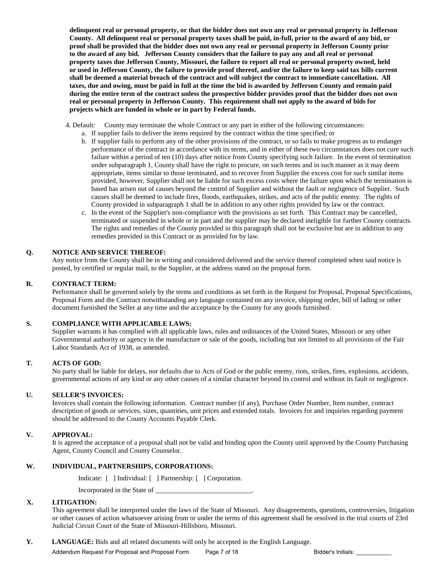**delinquent real or personal property, or that the bidder does not own any real or personal property in Jefferson County. All delinquent real or personal property taxes shall be paid, in-full, prior to the award of any bid, or proof shall be provided that the bidder does not own any real or personal property in Jefferson County prior to the award of any bid. Jefferson County considers that the failure to pay any and all real or personal property taxes due Jefferson County, Missouri, the failure to report all real or personal property owned, held or used in Jefferson County, the failure to provide proof thereof, and/or the failure to keep said tax bills current shall be deemed a material breach of the contract and will subject the contract to immediate cancellation. All taxes, due and owing, must be paid in full at the time the bid is awarded by Jefferson County and remain paid during the entire term of the contract unless the prospective bidder provides proof that the bidder does not own real or personal property in Jefferson County. This requirement shall not apply to the award of bids for projects which are funded in whole or in part by Federal funds.**

- 4. Default: County may terminate the whole Contract or any part in either of the following circumstances:
	- a. If supplier fails to deliver the items required by the contract within the time specified; or
	- b. If supplier fails to perform any of the other provisions of the contract, or so fails to make progress as to endanger performance of the contract in accordance with its terms, and in either of these two circumstances does not cure such failure within a period of ten (10) days after notice from County specifying such failure. In the event of termination under subparagraph 1, County shall have the right to procure, on such terms and in such manner as it may deem appropriate, items similar to those terminated, and to recover from Supplier the excess cost for such similar items provided, however, Supplier shall not be liable for such excess costs where the failure upon which the termination is based has arisen out of causes beyond the control of Supplier and without the fault or negligence of Supplier. Such causes shall be deemed to include fires, floods, earthquakes, strikes, and acts of the public enemy. The rights of County provided in subparagraph 1 shall be in addition to any other rights provided by law or the contract.
	- c. In the event of the Supplier's non-compliance with the provisions as set forth. This Contract may be cancelled, terminated or suspended in whole or in part and the supplier may be declared ineligible for further County contracts. The rights and remedies of the County provided in this paragraph shall not be exclusive but are in addition to any remedies provided in this Contract or as provided for by law.

#### **Q. NOTICE AND SERVICE THEREOF:**

Any notice from the County shall be in writing and considered delivered and the service thereof completed when said notice is posted, by certified or regular mail, to the Supplier, at the address stated on the proposal form.

#### **R. CONTRACT TERM:**

Performance shall be governed solely by the terms and conditions as set forth in the Request for Proposal, Proposal Specifications, Proposal Form and the Contract notwithstanding any language contained on any invoice, shipping order, bill of lading or other document furnished the Seller at any time and the acceptance by the County for any goods furnished.

#### **S. COMPLIANCE WITH APPLICABLE LAWS:**

Supplier warrants it has complied with all applicable laws, rules and ordinances of the United States, Missouri or any other Governmental authority or agency in the manufacture or sale of the goods, including but not limited to all provisions of the Fair Labor Standards Act of 1938, as amended.

#### **T. ACTS OF GOD:**

No party shall be liable for delays, nor defaults due to Acts of God or the public enemy, riots, strikes, fires, explosions, accidents, governmental actions of any kind or any other causes of a similar character beyond its control and without its fault or negligence.

#### **U. SELLER'S INVOICES:**

Invoices shall contain the following information. Contract number (if any), Purchase Order Number, Item number, contract description of goods or services, sizes, quantities, unit prices and extended totals. Invoices for and inquiries regarding payment should be addressed to the County Accounts Payable Clerk.

#### **V. APPROVAL:**

It is agreed the acceptance of a proposal shall not be valid and binding upon the County until approved by the County Purchasing Agent, County Council and County Counselor.

#### **W. INDIVIDUAL, PARTNERSHIPS, CORPORATIONS:**

Indicate: [ ] Individual: [ ] Partnership: [ ] Corporation.

Incorporated in the State of \_\_\_\_\_\_\_\_\_\_\_\_\_\_\_\_\_\_\_\_\_\_\_\_\_\_\_\_.

#### **X. LITIGATION:**

This agreement shall be interpreted under the laws of the State of Missouri. Any disagreements, questions, controversies, litigation or other causes of action whatsoever arising from or under the terms of this agreement shall be resolved in the trial courts of 23rd Judicial Circuit Court of the State of Missouri-Hillsboro, Missouri.

**Y. LANGUAGE:** Bids and all related documents will only be accepted in the English Language.

Addendum Request For Proposal and Proposal Form Page 7 of 18 Bidder's Initials: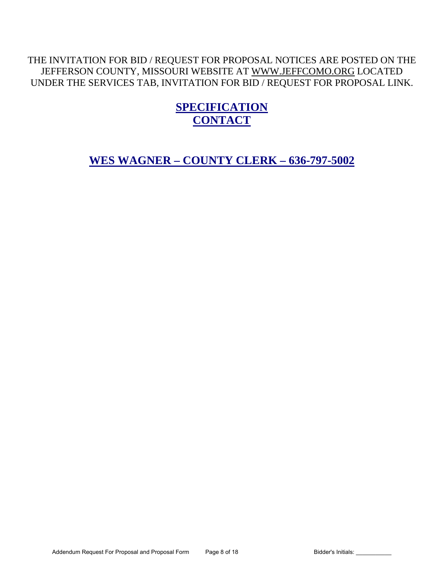# THE INVITATION FOR BID / REQUEST FOR PROPOSAL NOTICES ARE POSTED ON THE JEFFERSON COUNTY, MISSOURI WEBSITE AT [WWW.JEFFCOMO.ORG](http://www.jeffcomo.org/) LOCATED UNDER THE SERVICES TAB, INVITATION FOR BID / REQUEST FOR PROPOSAL LINK.

# **SPECIFICATION CONTACT**

**WES WAGNER – COUNTY CLERK – 636-797-5002**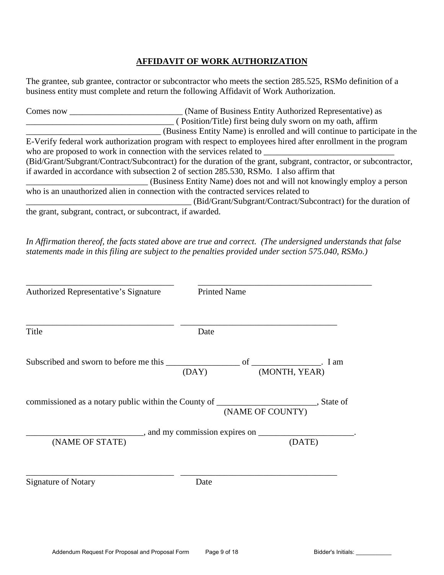# **AFFIDAVIT OF WORK AUTHORIZATION**

The grantee, sub grantee, contractor or subcontractor who meets the section 285.525, RSMo definition of a business entity must complete and return the following Affidavit of Work Authorization.

| Comes now                                                  | (Name of Business Entity Authorized Representative) as                                                           |
|------------------------------------------------------------|------------------------------------------------------------------------------------------------------------------|
|                                                            | (Position/Title) first being duly sworn on my oath, affirm                                                       |
|                                                            | (Business Entity Name) is enrolled and will continue to participate in the                                       |
|                                                            | E-Verify federal work authorization program with respect to employees hired after enrollment in the program      |
|                                                            | who are proposed to work in connection with the services related to                                              |
|                                                            | (Bid/Grant/Subgrant/Contract/Subcontract) for the duration of the grant, subgrant, contractor, or subcontractor, |
|                                                            | if awarded in accordance with subsection 2 of section 285.530, RSMo. I also affirm that                          |
|                                                            | (Business Entity Name) does not and will not knowingly employ a person                                           |
|                                                            | who is an unauthorized alien in connection with the contracted services related to                               |
|                                                            | (Bid/Grant/Subgrant/Contract/Subcontract) for the duration of                                                    |
| the grant, subgrant, contract, or subcontract, if awarded. |                                                                                                                  |

*In Affirmation thereof, the facts stated above are true and correct. (The undersigned understands that false statements made in this filing are subject to the penalties provided under section 575.040, RSMo.)* 

| Authorized Representative's Signature                                                    | <b>Printed Name</b> |                  |               |
|------------------------------------------------------------------------------------------|---------------------|------------------|---------------|
| Title                                                                                    | Date                |                  |               |
|                                                                                          | (DAY)               |                  | (MONTH, YEAR) |
| commissioned as a notary public within the County of _________________________, State of |                     | (NAME OF COUNTY) |               |
|                                                                                          |                     |                  |               |
| (NAME OF STATE)                                                                          |                     |                  | (DATE)        |
| <b>Signature of Notary</b>                                                               | Date                |                  |               |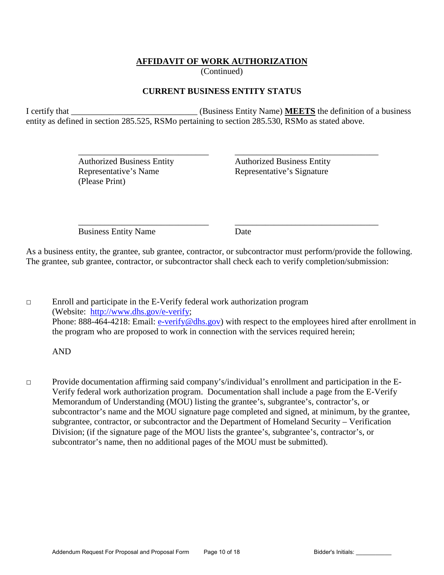# **AFFIDAVIT OF WORK AUTHORIZATION**

(Continued)

# **CURRENT BUSINESS ENTITY STATUS**

I certify that \_\_\_\_\_\_\_\_\_\_\_\_\_\_\_\_\_\_\_\_\_\_\_\_\_\_\_\_\_ (Business Entity Name) **MEETS** the definition of a business entity as defined in section 285.525, RSMo pertaining to section 285.530, RSMo as stated above.

 $\overline{\phantom{a}}$  ,  $\overline{\phantom{a}}$  ,  $\overline{\phantom{a}}$  ,  $\overline{\phantom{a}}$  ,  $\overline{\phantom{a}}$  ,  $\overline{\phantom{a}}$  ,  $\overline{\phantom{a}}$  ,  $\overline{\phantom{a}}$  ,  $\overline{\phantom{a}}$  ,  $\overline{\phantom{a}}$  ,  $\overline{\phantom{a}}$  ,  $\overline{\phantom{a}}$  ,  $\overline{\phantom{a}}$  ,  $\overline{\phantom{a}}$  ,  $\overline{\phantom{a}}$  ,  $\overline{\phantom{a}}$ 

(Please Print)

 Authorized Business Entity Authorized Business Entity Representative's Name<br>
Representative's Signature

 $\overline{\phantom{a}}$  ,  $\overline{\phantom{a}}$  ,  $\overline{\phantom{a}}$  ,  $\overline{\phantom{a}}$  ,  $\overline{\phantom{a}}$  ,  $\overline{\phantom{a}}$  ,  $\overline{\phantom{a}}$  ,  $\overline{\phantom{a}}$  ,  $\overline{\phantom{a}}$  ,  $\overline{\phantom{a}}$  ,  $\overline{\phantom{a}}$  ,  $\overline{\phantom{a}}$  ,  $\overline{\phantom{a}}$  ,  $\overline{\phantom{a}}$  ,  $\overline{\phantom{a}}$  ,  $\overline{\phantom{a}}$ Business Entity Name Date

As a business entity, the grantee, sub grantee, contractor, or subcontractor must perform/provide the following. The grantee, sub grantee, contractor, or subcontractor shall check each to verify completion/submission:

□ Enroll and participate in the E-Verify federal work authorization program (Website: [http://www.dhs.gov/e-verify;](http://www.dhs.gov/e-verify) Phone: 888-464-4218: Email: [e-verify@dhs.gov\)](mailto:e-verify@dhs.gov) with respect to the employees hired after enrollment in the program who are proposed to work in connection with the services required herein;

AND

□ Provide documentation affirming said company's/individual's enrollment and participation in the E-Verify federal work authorization program. Documentation shall include a page from the E-Verify Memorandum of Understanding (MOU) listing the grantee's, subgrantee's, contractor's, or subcontractor's name and the MOU signature page completed and signed, at minimum, by the grantee, subgrantee, contractor, or subcontractor and the Department of Homeland Security – Verification Division; (if the signature page of the MOU lists the grantee's, subgrantee's, contractor's, or subcontrator's name, then no additional pages of the MOU must be submitted).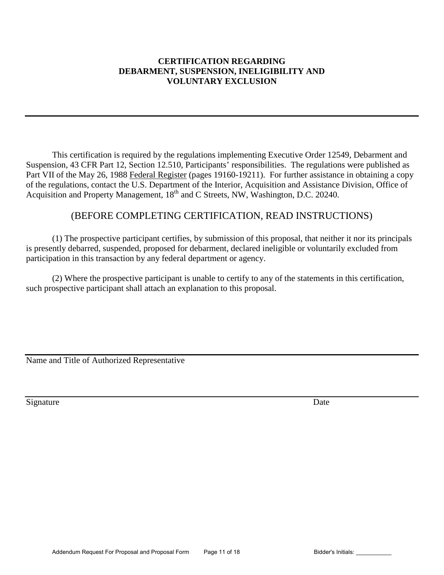### **CERTIFICATION REGARDING DEBARMENT, SUSPENSION, INELIGIBILITY AND VOLUNTARY EXCLUSION**

This certification is required by the regulations implementing Executive Order 12549, Debarment and Suspension, 43 CFR Part 12, Section 12.510, Participants' responsibilities. The regulations were published as Part VII of the May 26, 1988 Federal Register (pages 19160-19211). For further assistance in obtaining a copy of the regulations, contact the U.S. Department of the Interior, Acquisition and Assistance Division, Office of Acquisition and Property Management, 18<sup>th</sup> and C Streets, NW, Washington, D.C. 20240.

# (BEFORE COMPLETING CERTIFICATION, READ INSTRUCTIONS)

 (1) The prospective participant certifies, by submission of this proposal, that neither it nor its principals is presently debarred, suspended, proposed for debarment, declared ineligible or voluntarily excluded from participation in this transaction by any federal department or agency.

(2) Where the prospective participant is unable to certify to any of the statements in this certification, such prospective participant shall attach an explanation to this proposal.

Name and Title of Authorized Representative

Signature Date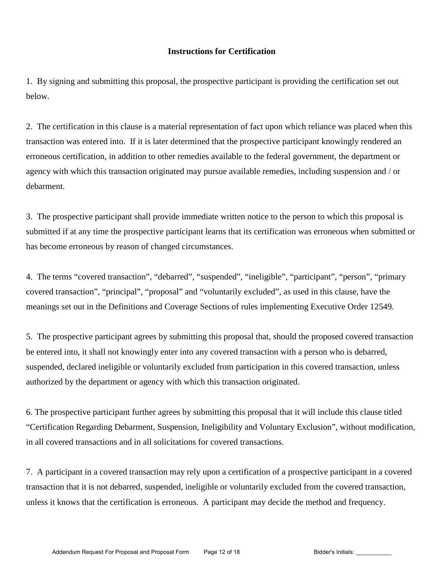### **Instructions for Certification**

1. By signing and submitting this proposal, the prospective participant is providing the certification set out below.

2. The certification in this clause is a material representation of fact upon which reliance was placed when this transaction was entered into. If it is later determined that the prospective participant knowingly rendered an erroneous certification, in addition to other remedies available to the federal government, the department or agency with which this transaction originated may pursue available remedies, including suspension and / or debarment.

3. The prospective participant shall provide immediate written notice to the person to which this proposal is submitted if at any time the prospective participant learns that its certification was erroneous when submitted or has become erroneous by reason of changed circumstances.

4. The terms "covered transaction", "debarred", "suspended", "ineligible", "participant", "person", "primary covered transaction", "principal", "proposal" and "voluntarily excluded", as used in this clause, have the meanings set out in the Definitions and Coverage Sections of rules implementing Executive Order 12549.

5. The prospective participant agrees by submitting this proposal that, should the proposed covered transaction be entered into, it shall not knowingly enter into any covered transaction with a person who is debarred, suspended, declared ineligible or voluntarily excluded from participation in this covered transaction, unless authorized by the department or agency with which this transaction originated.

6. The prospective participant further agrees by submitting this proposal that it will include this clause titled "Certification Regarding Debarment, Suspension, Ineligibility and Voluntary Exclusion", without modification, in all covered transactions and in all solicitations for covered transactions.

7. A participant in a covered transaction may rely upon a certification of a prospective participant in a covered transaction that it is not debarred, suspended, ineligible or voluntarily excluded from the covered transaction, unless it knows that the certification is erroneous. A participant may decide the method and frequency.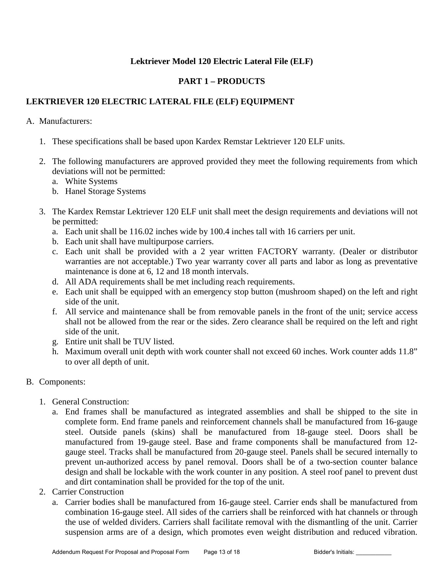# **Lektriever Model 120 Electric Lateral File (ELF)**

# **PART 1 – PRODUCTS**

# **LEKTRIEVER 120 ELECTRIC LATERAL FILE (ELF) EQUIPMENT**

### A. Manufacturers:

- 1. These specifications shall be based upon Kardex Remstar Lektriever 120 ELF units.
- 2. The following manufacturers are approved provided they meet the following requirements from which deviations will not be permitted:
	- a. White Systems
	- b. Hanel Storage Systems
- 3. The Kardex Remstar Lektriever 120 ELF unit shall meet the design requirements and deviations will not be permitted:
	- a. Each unit shall be 116.02 inches wide by 100.4 inches tall with 16 carriers per unit.
	- b. Each unit shall have multipurpose carriers.
	- c. Each unit shall be provided with a 2 year written FACTORY warranty. (Dealer or distributor warranties are not acceptable.) Two year warranty cover all parts and labor as long as preventative maintenance is done at 6, 12 and 18 month intervals.
	- d. All ADA requirements shall be met including reach requirements.
	- e. Each unit shall be equipped with an emergency stop button (mushroom shaped) on the left and right side of the unit.
	- f. All service and maintenance shall be from removable panels in the front of the unit; service access shall not be allowed from the rear or the sides. Zero clearance shall be required on the left and right side of the unit.
	- g. Entire unit shall be TUV listed.
	- h. Maximum overall unit depth with work counter shall not exceed 60 inches. Work counter adds 11.8" to over all depth of unit.

# B. Components:

- 1. General Construction:
	- a. End frames shall be manufactured as integrated assemblies and shall be shipped to the site in complete form. End frame panels and reinforcement channels shall be manufactured from 16-gauge steel. Outside panels (skins) shall be manufactured from 18-gauge steel. Doors shall be manufactured from 19-gauge steel. Base and frame components shall be manufactured from 12 gauge steel. Tracks shall be manufactured from 20-gauge steel. Panels shall be secured internally to prevent un-authorized access by panel removal. Doors shall be of a two-section counter balance design and shall be lockable with the work counter in any position. A steel roof panel to prevent dust and dirt contamination shall be provided for the top of the unit.
- 2. Carrier Construction
	- a. Carrier bodies shall be manufactured from 16-gauge steel. Carrier ends shall be manufactured from combination 16-gauge steel. All sides of the carriers shall be reinforced with hat channels or through the use of welded dividers. Carriers shall facilitate removal with the dismantling of the unit. Carrier suspension arms are of a design, which promotes even weight distribution and reduced vibration.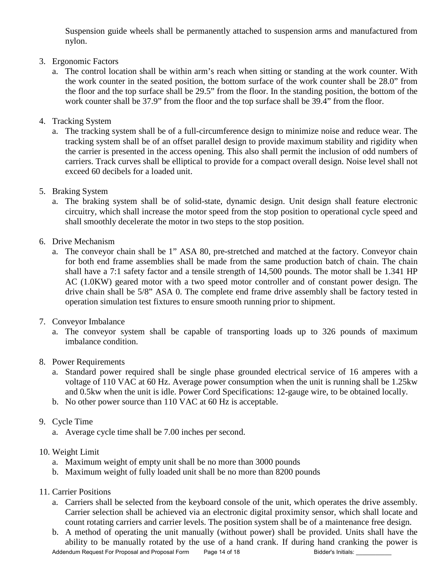Suspension guide wheels shall be permanently attached to suspension arms and manufactured from nylon.

# 3. Ergonomic Factors

- a. The control location shall be within arm's reach when sitting or standing at the work counter. With the work counter in the seated position, the bottom surface of the work counter shall be 28.0" from the floor and the top surface shall be 29.5" from the floor. In the standing position, the bottom of the work counter shall be 37.9" from the floor and the top surface shall be 39.4" from the floor.
- 4. Tracking System
	- a. The tracking system shall be of a full-circumference design to minimize noise and reduce wear. The tracking system shall be of an offset parallel design to provide maximum stability and rigidity when the carrier is presented in the access opening. This also shall permit the inclusion of odd numbers of carriers. Track curves shall be elliptical to provide for a compact overall design. Noise level shall not exceed 60 decibels for a loaded unit.
- 5. Braking System
	- a. The braking system shall be of solid-state, dynamic design. Unit design shall feature electronic circuitry, which shall increase the motor speed from the stop position to operational cycle speed and shall smoothly decelerate the motor in two steps to the stop position.
- 6. Drive Mechanism
	- a. The conveyor chain shall be 1" ASA 80, pre-stretched and matched at the factory. Conveyor chain for both end frame assemblies shall be made from the same production batch of chain. The chain shall have a 7:1 safety factor and a tensile strength of 14,500 pounds. The motor shall be 1.341 HP AC (1.0KW) geared motor with a two speed motor controller and of constant power design. The drive chain shall be 5/8" ASA 0. The complete end frame drive assembly shall be factory tested in operation simulation test fixtures to ensure smooth running prior to shipment.
- 7. Conveyor Imbalance
	- a. The conveyor system shall be capable of transporting loads up to 326 pounds of maximum imbalance condition.
- 8. Power Requirements
	- a. Standard power required shall be single phase grounded electrical service of 16 amperes with a voltage of 110 VAC at 60 Hz. Average power consumption when the unit is running shall be 1.25kw and 0.5kw when the unit is idle. Power Cord Specifications: 12-gauge wire, to be obtained locally.
	- b. No other power source than 110 VAC at 60 Hz is acceptable.
- 9. Cycle Time
	- a. Average cycle time shall be 7.00 inches per second.
- 10. Weight Limit
	- a. Maximum weight of empty unit shall be no more than 3000 pounds
	- b. Maximum weight of fully loaded unit shall be no more than 8200 pounds
- 11. Carrier Positions
	- a. Carriers shall be selected from the keyboard console of the unit, which operates the drive assembly. Carrier selection shall be achieved via an electronic digital proximity sensor, which shall locate and count rotating carriers and carrier levels. The position system shall be of a maintenance free design.
	- b. A method of operating the unit manually (without power) shall be provided. Units shall have the ability to be manually rotated by the use of a hand crank. If during hand cranking the power is Addendum Request For Proposal and Proposal Form Page 14 of 18 Bidder's Initials: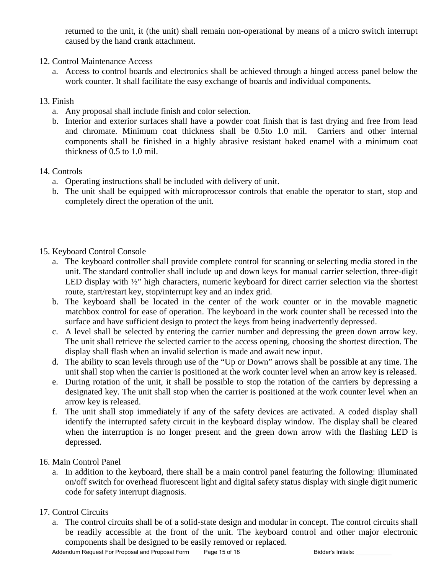returned to the unit, it (the unit) shall remain non-operational by means of a micro switch interrupt caused by the hand crank attachment.

- 12. Control Maintenance Access
	- a. Access to control boards and electronics shall be achieved through a hinged access panel below the work counter. It shall facilitate the easy exchange of boards and individual components.

## 13. Finish

- a. Any proposal shall include finish and color selection.
- b. Interior and exterior surfaces shall have a powder coat finish that is fast drying and free from lead and chromate. Minimum coat thickness shall be 0.5to 1.0 mil. Carriers and other internal components shall be finished in a highly abrasive resistant baked enamel with a minimum coat thickness of 0.5 to 1.0 mil.

### 14. Controls

- a. Operating instructions shall be included with delivery of unit.
- b. The unit shall be equipped with microprocessor controls that enable the operator to start, stop and completely direct the operation of the unit.

# 15. Keyboard Control Console

- a. The keyboard controller shall provide complete control for scanning or selecting media stored in the unit. The standard controller shall include up and down keys for manual carrier selection, three-digit LED display with  $\frac{1}{2}$ " high characters, numeric keyboard for direct carrier selection via the shortest route, start/restart key, stop/interrupt key and an index grid.
- b. The keyboard shall be located in the center of the work counter or in the movable magnetic matchbox control for ease of operation. The keyboard in the work counter shall be recessed into the surface and have sufficient design to protect the keys from being inadvertently depressed.
- c. A level shall be selected by entering the carrier number and depressing the green down arrow key. The unit shall retrieve the selected carrier to the access opening, choosing the shortest direction. The display shall flash when an invalid selection is made and await new input.
- d. The ability to scan levels through use of the "Up or Down" arrows shall be possible at any time. The unit shall stop when the carrier is positioned at the work counter level when an arrow key is released.
- e. During rotation of the unit, it shall be possible to stop the rotation of the carriers by depressing a designated key. The unit shall stop when the carrier is positioned at the work counter level when an arrow key is released.
- f. The unit shall stop immediately if any of the safety devices are activated. A coded display shall identify the interrupted safety circuit in the keyboard display window. The display shall be cleared when the interruption is no longer present and the green down arrow with the flashing LED is depressed.

### 16. Main Control Panel

a. In addition to the keyboard, there shall be a main control panel featuring the following: illuminated on/off switch for overhead fluorescent light and digital safety status display with single digit numeric code for safety interrupt diagnosis.

# 17. Control Circuits

a. The control circuits shall be of a solid-state design and modular in concept. The control circuits shall be readily accessible at the front of the unit. The keyboard control and other major electronic components shall be designed to be easily removed or replaced.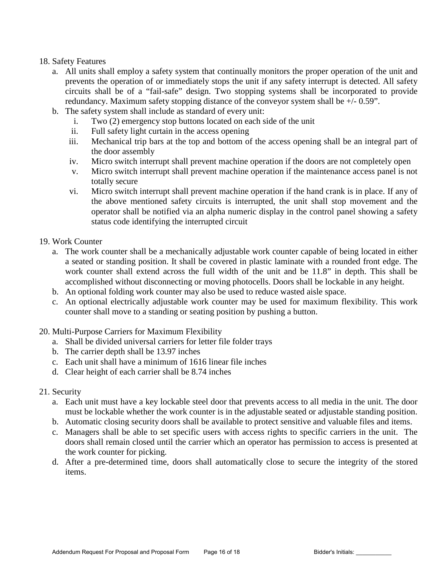### 18. Safety Features

- a. All units shall employ a safety system that continually monitors the proper operation of the unit and prevents the operation of or immediately stops the unit if any safety interrupt is detected. All safety circuits shall be of a "fail-safe" design. Two stopping systems shall be incorporated to provide redundancy. Maximum safety stopping distance of the conveyor system shall be +/- 0.59".
- b. The safety system shall include as standard of every unit:
	- i. Two (2) emergency stop buttons located on each side of the unit
	- ii. Full safety light curtain in the access opening
	- iii. Mechanical trip bars at the top and bottom of the access opening shall be an integral part of the door assembly
	- iv. Micro switch interrupt shall prevent machine operation if the doors are not completely open
	- v. Micro switch interrupt shall prevent machine operation if the maintenance access panel is not totally secure
	- vi. Micro switch interrupt shall prevent machine operation if the hand crank is in place. If any of the above mentioned safety circuits is interrupted, the unit shall stop movement and the operator shall be notified via an alpha numeric display in the control panel showing a safety status code identifying the interrupted circuit

### 19. Work Counter

- a. The work counter shall be a mechanically adjustable work counter capable of being located in either a seated or standing position. It shall be covered in plastic laminate with a rounded front edge. The work counter shall extend across the full width of the unit and be 11.8" in depth. This shall be accomplished without disconnecting or moving photocells. Doors shall be lockable in any height.
- b. An optional folding work counter may also be used to reduce wasted aisle space.
- c. An optional electrically adjustable work counter may be used for maximum flexibility. This work counter shall move to a standing or seating position by pushing a button.
- 20. Multi-Purpose Carriers for Maximum Flexibility
	- a. Shall be divided universal carriers for letter file folder trays
	- b. The carrier depth shall be 13.97 inches
	- c. Each unit shall have a minimum of 1616 linear file inches
	- d. Clear height of each carrier shall be 8.74 inches
- 21. Security
	- a. Each unit must have a key lockable steel door that prevents access to all media in the unit. The door must be lockable whether the work counter is in the adjustable seated or adjustable standing position.
	- b. Automatic closing security doors shall be available to protect sensitive and valuable files and items.
	- c. Managers shall be able to set specific users with access rights to specific carriers in the unit. The doors shall remain closed until the carrier which an operator has permission to access is presented at the work counter for picking.
	- d. After a pre-determined time, doors shall automatically close to secure the integrity of the stored items.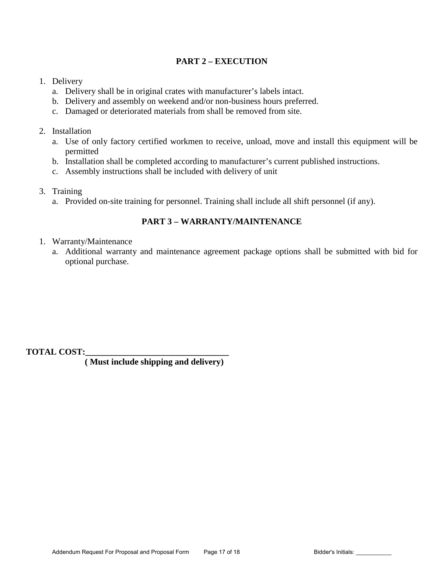# **PART 2 – EXECUTION**

### 1. Delivery

- a. Delivery shall be in original crates with manufacturer's labels intact.
- b. Delivery and assembly on weekend and/or non-business hours preferred.
- c. Damaged or deteriorated materials from shall be removed from site.

### 2. Installation

- a. Use of only factory certified workmen to receive, unload, move and install this equipment will be permitted
- b. Installation shall be completed according to manufacturer's current published instructions.
- c. Assembly instructions shall be included with delivery of unit
- 3. Training
	- a. Provided on-site training for personnel. Training shall include all shift personnel (if any).

# **PART 3 – WARRANTY/MAINTENANCE**

- 1. Warranty/Maintenance
	- a. Additional warranty and maintenance agreement package options shall be submitted with bid for optional purchase.

**TOTAL COST:\_\_\_\_\_\_\_\_\_\_\_\_\_\_\_\_\_\_\_\_\_\_\_\_\_\_\_\_\_\_\_\_\_** 

 **( Must include shipping and delivery)**